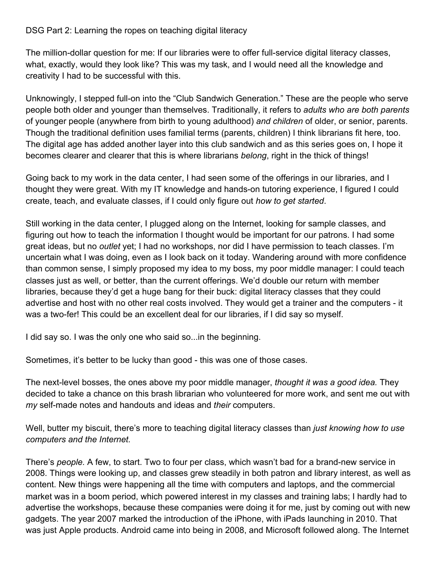## DSG Part 2: Learning the ropes on teaching digital literacy

The million-dollar question for me: If our libraries were to offer full-service digital literacy classes, what, exactly, would they look like? This was my task, and I would need all the knowledge and creativity I had to be successful with this.

Unknowingly, I stepped full-on into the "Club Sandwich Generation." These are the people who serve people both older and younger than themselves. Traditionally, it refers to *adults who are both parents* of younger people (anywhere from birth to young adulthood) *and children* of older, or senior, parents. Though the traditional definition uses familial terms (parents, children) I think librarians fit here, too. The digital age has added another layer into this club sandwich and as this series goes on, I hope it becomes clearer and clearer that this is where librarians *belong*, right in the thick of things!

Going back to my work in the data center, I had seen some of the offerings in our libraries, and I thought they were great. With my IT knowledge and hands-on tutoring experience, I figured I could create, teach, and evaluate classes, if I could only figure out *how to get started*.

Still working in the data center, I plugged along on the Internet, looking for sample classes, and figuring out how to teach the information I thought would be important for our patrons. I had some great ideas, but no *outlet* yet; I had no workshops, nor did I have permission to teach classes. I'm uncertain what I was doing, even as I look back on it today. Wandering around with more confidence than common sense, I simply proposed my idea to my boss, my poor middle manager: I could teach classes just as well, or better, than the current offerings. We'd double our return with member libraries, because they'd get a huge bang for their buck: digital literacy classes that they could advertise and host with no other real costs involved. They would get a trainer and the computers - it was a two-fer! This could be an excellent deal for our libraries, if I did say so myself.

I did say so. I was the only one who said so...in the beginning.

Sometimes, it's better to be lucky than good - this was one of those cases.

The next-level bosses, the ones above my poor middle manager, *thought it was a good idea.* They decided to take a chance on this brash librarian who volunteered for more work, and sent me out with *my* self-made notes and handouts and ideas and *their* computers.

Well, butter my biscuit, there's more to teaching digital literacy classes than *just knowing how to use computers and the Internet.*

There's *people.* A few, to start. Two to four per class, which wasn't bad for a brand-new service in 2008. Things were looking up, and classes grew steadily in both patron and library interest, as well as content. New things were happening all the time with computers and laptops, and the commercial market was in a boom period, which powered interest in my classes and training labs; I hardly had to advertise the workshops, because these companies were doing it for me, just by coming out with new gadgets. The year 2007 marked the introduction of the iPhone, with iPads launching in 2010. That was just Apple products. Android came into being in 2008, and Microsoft followed along. The Internet